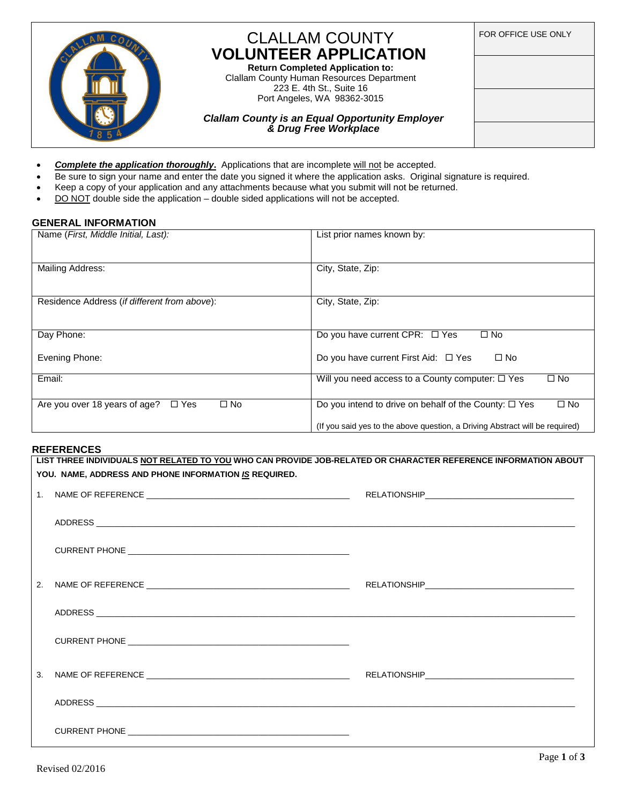

## CLALLAM COUNTY **VOLUNTEER APPLICATION**

**Return Completed Application to:** Clallam County Human Resources Department 223 E. 4th St., Suite 16 Port Angeles, WA 98362-3015

*Clallam County is an Equal Opportunity Employer & Drug Free Workplace*

- FOR OFFICE USE ONLY
- *Complete the application thoroughly***.** Applications that are incomplete will not be accepted.
- Be sure to sign your name and enter the date you signed it where the application asks. Original signature is required.
- Keep a copy of your application and any attachments because what you submit will not be returned.
- $\bullet$  DO NOT double side the application double sided applications will not be accepted.

#### **GENERAL INFORMATION**

| Name (First, Middle Initial, Last):                            | List prior names known by:                                                   |
|----------------------------------------------------------------|------------------------------------------------------------------------------|
| Mailing Address:                                               | City, State, Zip:                                                            |
| Residence Address (if different from above):                   | City, State, Zip:                                                            |
| Day Phone:                                                     | Do you have current CPR: $\Box$ Yes<br>$\square$ No                          |
| Evening Phone:                                                 | Do you have current First Aid: $\Box$ Yes<br>$\square$ No                    |
| Email:                                                         | $\square$ No<br>Will you need access to a County computer: $\Box$ Yes        |
| $\square$ No<br>Are you over 18 years of age?<br>$\square$ Yes | Do you intend to drive on behalf of the County: $\Box$ Yes<br>$\square$ No   |
|                                                                | (If you said yes to the above question, a Driving Abstract will be required) |

#### **REFERENCES**

|                | LIST THREE INDIVIDUALS <u>NOT RELATED TO YOU</u> WHO CAN PROVIDE JOB-RELATED OR CHARACTER REFERENCE INFORMATION ABOUT |  |  |
|----------------|-----------------------------------------------------------------------------------------------------------------------|--|--|
|                | YOU. NAME, ADDRESS AND PHONE INFORMATION IS REQUIRED.                                                                 |  |  |
|                |                                                                                                                       |  |  |
|                |                                                                                                                       |  |  |
|                |                                                                                                                       |  |  |
| 2 <sub>1</sub> |                                                                                                                       |  |  |
|                |                                                                                                                       |  |  |
|                |                                                                                                                       |  |  |
| 3.             |                                                                                                                       |  |  |
|                |                                                                                                                       |  |  |
|                |                                                                                                                       |  |  |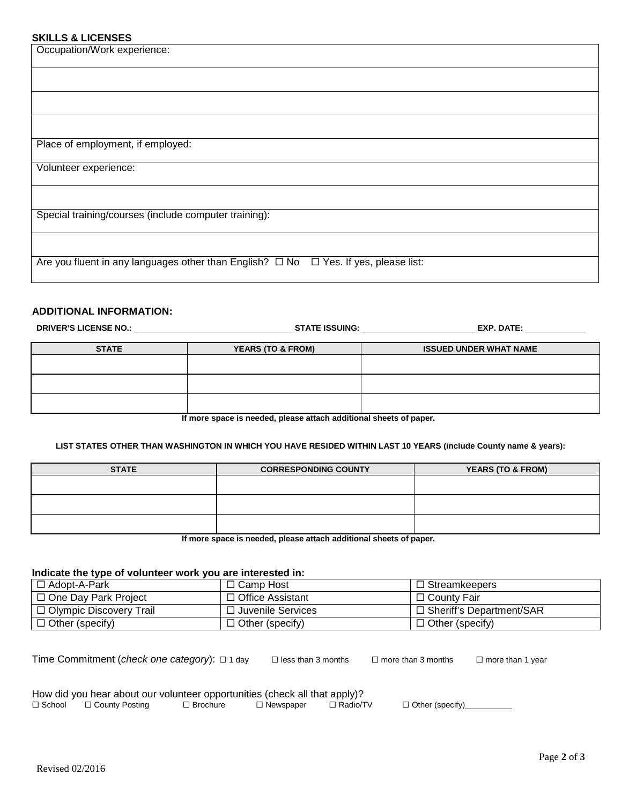### **SKILLS & LICENSES**

| ONILLO & LIUENOEO                                                                              |
|------------------------------------------------------------------------------------------------|
| Occupation/Work experience:                                                                    |
|                                                                                                |
|                                                                                                |
|                                                                                                |
|                                                                                                |
| Place of employment, if employed:                                                              |
| Volunteer experience:                                                                          |
|                                                                                                |
| Special training/courses (include computer training):                                          |
|                                                                                                |
| Are you fluent in any languages other than English? $\Box$ No $\Box$ Yes. If yes, please list: |

#### **ADDITIONAL INFORMATION:**

| <b>DRIVER'S LICENSE NO.:</b> | <b>EXP. DATE:</b><br><b>STATE ISSUING:</b> |                               |
|------------------------------|--------------------------------------------|-------------------------------|
| <b>STATE</b>                 | <b>YEARS (TO &amp; FROM)</b>               | <b>ISSUED UNDER WHAT NAME</b> |
|                              |                                            |                               |
|                              |                                            |                               |
| $\cdot$                      |                                            | $\cdots$                      |

**If more space is needed, please attach additional sheets of paper.**

#### **LIST STATES OTHER THAN WASHINGTON IN WHICH YOU HAVE RESIDED WITHIN LAST 10 YEARS (include County name & years):**

| <b>STATE</b> | <b>CORRESPONDING COUNTY</b> | <b>YEARS (TO &amp; FROM)</b> |
|--------------|-----------------------------|------------------------------|
|              |                             |                              |
|              |                             |                              |
|              |                             |                              |
|              |                             |                              |
|              |                             |                              |

**If more space is needed, please attach additional sheets of paper.**

#### **Indicate the type of volunteer work you are interested in:**

| □ Adopt-A-Park            | $\Box$ Camp Host       | $\Box$ Streamkeepers       |
|---------------------------|------------------------|----------------------------|
| □ One Dav Park Proiect    | □ Office Assistant     | $\Box$ County Fair         |
| □ Olympic Discovery Trail | □ Juvenile Services    | □ Sheriff's Department/SAR |
| $\Box$ Other (specify)    | $\Box$ Other (specify) | $\Box$ Other (specify)     |

Time Commitment (*check one category*):  $\Box$  1 day  $\Box$  less than 3 months  $\Box$  more than 3 months  $\Box$  more than 1 year

| How did you hear about our volunteer opportunities (check all that apply)? |                 |             |            |                   |
|----------------------------------------------------------------------------|-----------------|-------------|------------|-------------------|
| □ School □ County Posting                                                  | $\Box$ Brochure | □ Newspaper | □ Radio/TV | □ Other (specify) |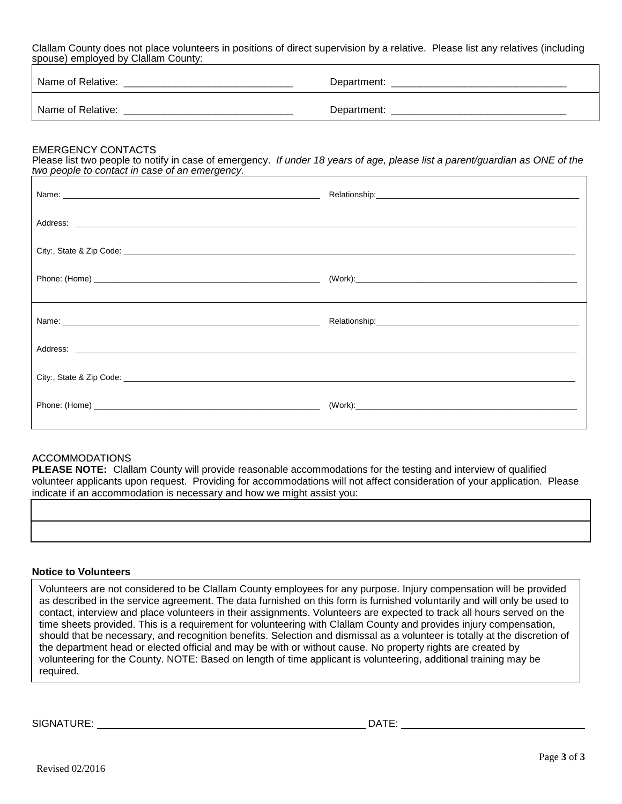Clallam County does not place volunteers in positions of direct supervision by a relative. Please list any relatives (including spouse) employed by Clallam County:

| Name of Relative: | Department: |
|-------------------|-------------|
| Name of Relative: | Department: |

#### EMERGENCY CONTACTS

Please list two people to notify in case of emergency. *If under 18 years of age, please list a parent/guardian as ONE of the two people to contact in case of an emergency.* 

#### ACCOMMODATIONS

**PLEASE NOTE:** Clallam County will provide reasonable accommodations for the testing and interview of qualified volunteer applicants upon request. Providing for accommodations will not affect consideration of your application. Please indicate if an accommodation is necessary and how we might assist you:

#### **Notice to Volunteers**

Volunteers are not considered to be Clallam County employees for any purpose. Injury compensation will be provided as described in the service agreement. The data furnished on this form is furnished voluntarily and will only be used to contact, interview and place volunteers in their assignments. Volunteers are expected to track all hours served on the time sheets provided. This is a requirement for volunteering with Clallam County and provides injury compensation, should that be necessary, and recognition benefits. Selection and dismissal as a volunteer is totally at the discretion of the department head or elected official and may be with or without cause. No property rights are created by volunteering for the County. NOTE: Based on length of time applicant is volunteering, additional training may be required.

SIGNATURE: DATE: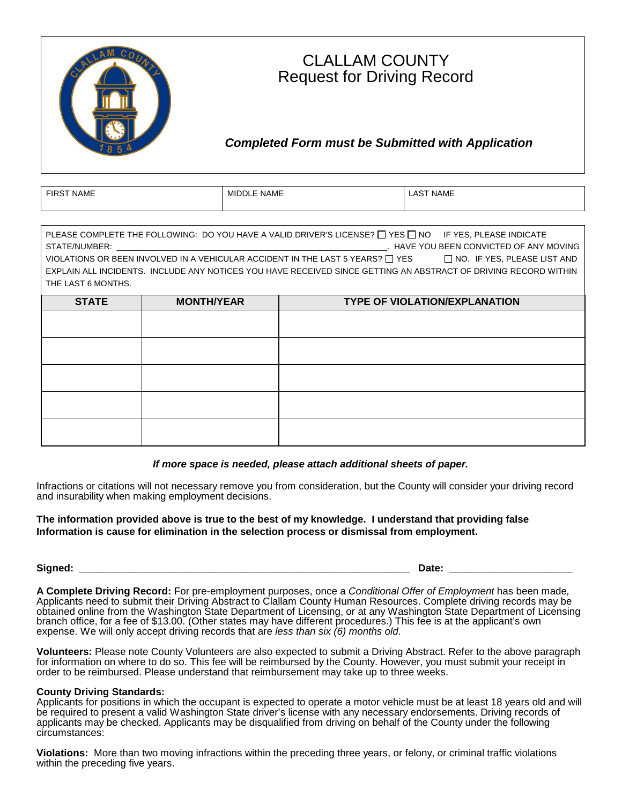

## CLALLAM COUNTY Request for Driving Record

## *Completed Form must be Submitted with Application*

| T NAME       | <b>NAME</b>   | <b>NAME</b> |
|--------------|---------------|-------------|
| <b>FIRST</b> | <b>MIDDLE</b> | .AS         |
|              |               |             |

| PLEASE COMPLETE THE FOLLOWING: DO YOU HAVE A VALID DRIVER'S LICENSE? $\Box$ YES $\Box$ NO $\Box$ FYES, PLEASE INDICATE<br>STATE/NUMBER:<br>VIOLATIONS OR BEEN INVOLVED IN A VEHICULAR ACCIDENT IN THE LAST 5 YEARS? $\Box$ YES $\hfill\Box$ NO. IF YES, PLEASE LIST AND<br>EXPLAIN ALL INCIDENTS. INCLUDE ANY NOTICES YOU HAVE RECEIVED SINCE GETTING AN ABSTRACT OF DRIVING RECORD WITHIN<br>THE LAST 6 MONTHS. |                   |                                      |
|------------------------------------------------------------------------------------------------------------------------------------------------------------------------------------------------------------------------------------------------------------------------------------------------------------------------------------------------------------------------------------------------------------------|-------------------|--------------------------------------|
| <b>STATE</b>                                                                                                                                                                                                                                                                                                                                                                                                     | <b>MONTH/YEAR</b> | <b>TYPE OF VIOLATION/EXPLANATION</b> |
|                                                                                                                                                                                                                                                                                                                                                                                                                  |                   |                                      |
|                                                                                                                                                                                                                                                                                                                                                                                                                  |                   |                                      |
|                                                                                                                                                                                                                                                                                                                                                                                                                  |                   |                                      |
|                                                                                                                                                                                                                                                                                                                                                                                                                  |                   |                                      |
|                                                                                                                                                                                                                                                                                                                                                                                                                  |                   |                                      |

#### *If more space is needed, please attach additional sheets of paper.*

Infractions or citations will not necessary remove you from consideration, but the County will consider your driving record and insurability when making employment decisions.

#### **The information provided above is true to the best of my knowledge. I understand that providing false Information is cause for elimination in the selection process or dismissal from employment.**

### **Signed: \_\_\_\_\_\_\_\_\_\_\_\_\_\_\_\_\_\_\_\_\_\_\_\_\_\_\_\_\_\_\_\_\_\_\_\_\_\_\_\_\_\_\_\_\_\_\_\_\_\_\_\_\_\_\_\_\_\_\_ Date: \_\_\_\_\_\_\_\_\_\_\_\_\_\_\_\_\_\_\_\_\_\_**

**A Complete Driving Record:** For pre-employment purposes, once a *Conditional Offer of Employment* has been made*,* Applicants need to submit their Driving Abstract to Clallam County Human Resources. Complete driving records may be obtained online from the Washington State Department of Licensing, or at any Washington State Department of Licensing branch office, for a fee of \$13.00. (Other states may have different procedures.) This fee is at the applicant's own expense. We will only accept driving records that are *less than six (6) months old*.

**Volunteers:** Please note County Volunteers are also expected to submit a Driving Abstract. Refer to the above paragraph for information on where to do so. This fee will be reimbursed by the County. However, you must submit your receipt in order to be reimbursed. Please understand that reimbursement may take up to three weeks.

#### **County Driving Standards:**

Applicants for positions in which the occupant is expected to operate a motor vehicle must be at least 18 years old and will be required to present a valid Washington State driver's license with any necessary endorsements. Driving records of applicants may be checked. Applicants may be disqualified from driving on behalf of the County under the following circumstances:

**Violations:** More than two moving infractions within the preceding three years, or felony, or criminal traffic violations within the preceding five years.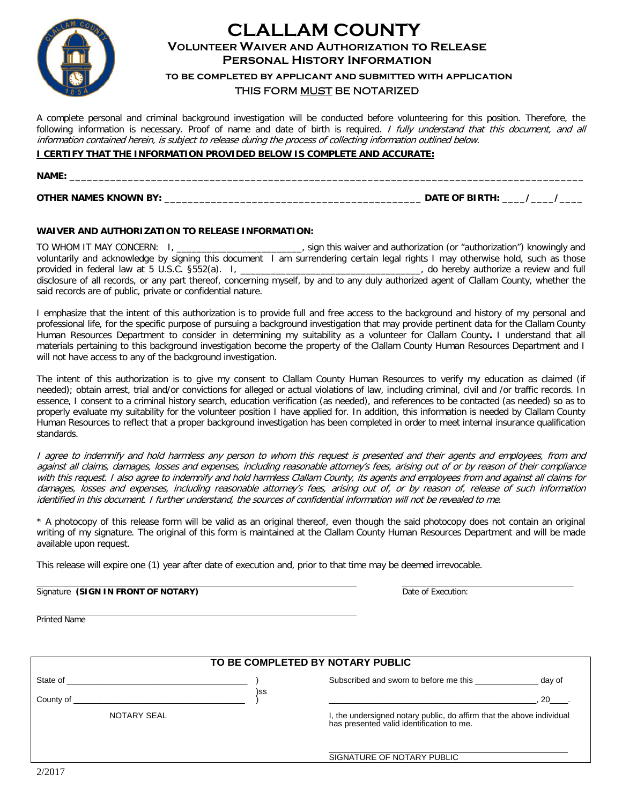

## **CLALLAM COUNTY VOLUNTEER WAIVER AND AUTHORIZATION to Release Personal History Information**

**to be completed by applicant and submitted with application** THIS FORM MUST BE NOTARIZED

A complete personal and criminal background investigation will be conducted before volunteering for this position. Therefore, the following information is necessary. Proof of name and date of birth is required. I fully understand that this document, and all information contained herein, is subject to release during the process of collecting information outlined below.

#### **I CERTIFY THAT THE INFORMATION PROVIDED BELOW IS COMPLETE AND ACCURATE:**

| <b>NAME:</b><br>_________________ |  |
|-----------------------------------|--|
|                                   |  |

**OTHER NAMES KNOWN BY: \_\_\_\_\_\_\_\_\_\_\_\_\_\_\_\_\_\_\_\_\_\_\_\_\_\_\_\_\_\_\_\_\_\_\_\_\_\_\_\_\_\_\_\_ DATE OF BIRTH: \_\_\_\_/\_\_\_\_/\_\_\_\_**

#### **WAIVER AND AUTHORIZATION TO RELEASE INFORMATION:**

TO WHOM IT MAY CONCERN: I, \_\_\_\_\_\_\_\_\_\_\_\_\_\_\_\_\_\_\_\_\_\_\_\_\_, sign this waiver and authorization (or "authorization") knowingly and voluntarily and acknowledge by signing this document I am surrendering certain legal rights I may otherwise hold, such as those<br>provided in federal law at 5 U.S.C. §552(a). I, \_\_\_\_\_\_\_\_\_\_\_\_\_\_\_\_\_\_\_\_\_\_\_\_\_\_\_\_\_\_\_\_, do hereby au provided in federal law at 5 U.S.C. §552(a). I, \_\_\_\_\_\_\_\_\_\_\_\_\_\_\_\_\_\_\_\_\_\_\_\_\_\_\_\_\_\_\_\_\_\_\_\_, do hereby authorize a review and full disclosure of all records, or any part thereof, concerning myself, by and to any duly authorized agent of Clallam County, whether the said records are of public, private or confidential nature.

I emphasize that the intent of this authorization is to provide full and free access to the background and history of my personal and professional life, for the specific purpose of pursuing a background investigation that may provide pertinent data for the Clallam County Human Resources Department to consider in determining my suitability as a volunteer for Clallam County**.** I understand that all materials pertaining to this background investigation become the property of the Clallam County Human Resources Department and I will not have access to any of the background investigation.

The intent of this authorization is to give my consent to Clallam County Human Resources to verify my education as claimed (if needed); obtain arrest, trial and/or convictions for alleged or actual violations of law, including criminal, civil and /or traffic records. In essence, I consent to a criminal history search, education verification (as needed), and references to be contacted (as needed) so as to properly evaluate my suitability for the volunteer position I have applied for. In addition, this information is needed by Clallam County Human Resources to reflect that a proper background investigation has been completed in order to meet internal insurance qualification standards.

I agree to indemnify and hold harmless any person to whom this request is presented and their agents and employees, from and against all claims, damages, losses and expenses, including reasonable attorney's fees, arising out of or by reason of their compliance with this request. I also agree to indemnify and hold harmless Clallam County, its agents and employees from and against all claims for damages, losses and expenses, including reasonable attorney's fees, arising out of, or by reason of, release of such information identified in this document. I further understand, the sources of confidential information will not be revealed to me.

\* A photocopy of this release form will be valid as an original thereof, even though the said photocopy does not contain an original writing of my signature. The original of this form is maintained at the Clallam County Human Resources Department and will be made available upon request.

This release will expire one (1) year after date of execution and, prior to that time may be deemed irrevocable.

| Signature | a (SIGN IN FRONT OF NOTARY)<br>the contract of the contract of the contract of the contract of the contract of the contract of the contract of | Date<br>cution.<br>∴ ot Fxec<br>. |
|-----------|------------------------------------------------------------------------------------------------------------------------------------------------|-----------------------------------|

\_\_\_\_\_\_\_\_\_\_\_\_\_\_\_\_\_\_\_\_\_\_\_\_\_\_\_\_\_\_\_\_\_\_\_\_\_\_\_\_\_\_\_\_\_\_\_\_\_\_\_\_\_\_\_\_\_\_\_\_\_\_\_\_\_\_\_\_\_\_\_ Printed Name

| TO BE COMPLETED BY NOTARY PUBLIC |     |                                                                                                                 |        |  |
|----------------------------------|-----|-----------------------------------------------------------------------------------------------------------------|--------|--|
|                                  |     | Subscribed and sworn to before me this                                                                          | day of |  |
|                                  | )SS |                                                                                                                 | 20     |  |
| NOTARY SEAL                      |     | I, the undersigned notary public, do affirm that the above individual has presented valid identification to me. |        |  |
|                                  |     | SIGNATURE OF NOTARY PUBLIC                                                                                      |        |  |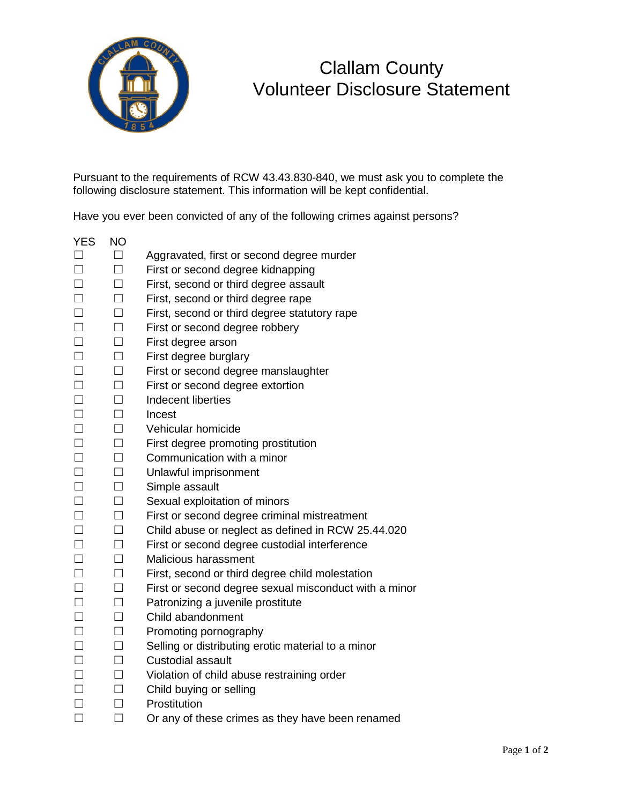

# Clallam County Volunteer Disclosure Statement

Pursuant to the requirements of RCW 43.43.830-840, we must ask you to complete the following disclosure statement. This information will be kept confidential.

Have you ever been convicted of any of the following crimes against persons?

- YES NO ☐ ☐ Aggravated, first or second degree murder
- ☐ ☐ First or second degree kidnapping
- ☐ ☐ First, second or third degree assault
- ☐ ☐ First, second or third degree rape
- ☐ ☐ First, second or third degree statutory rape
- ☐ ☐ First or second degree robbery
- ☐ ☐ First degree arson
- ☐ ☐ First degree burglary
- ☐ ☐ First or second degree manslaughter
- ☐ ☐ First or second degree extortion
- ☐ ☐ Indecent liberties
- ☐ ☐ Incest
- ☐ ☐ Vehicular homicide
- ☐ ☐ First degree promoting prostitution
- ☐ ☐ Communication with a minor
- ☐ ☐ Unlawful imprisonment
- ☐ ☐ Simple assault
- ☐ ☐ Sexual exploitation of minors
- ☐ ☐ First or second degree criminal mistreatment
- ☐ ☐ Child abuse or neglect as defined in RCW 25.44.020
- ☐ ☐ First or second degree custodial interference
- ☐ ☐ Malicious harassment
- ☐ ☐ First, second or third degree child molestation
- ☐ ☐ First or second degree sexual misconduct with a minor
- ☐ ☐ Patronizing a juvenile prostitute
- ☐ ☐ Child abandonment
- ☐ ☐ Promoting pornography
- □ □ Selling or distributing erotic material to a minor
- ☐ ☐ Custodial assault
- ☐ ☐ Violation of child abuse restraining order
- ☐ ☐ Child buying or selling
- ☐ ☐ Prostitution
- ☐ ☐ Or any of these crimes as they have been renamed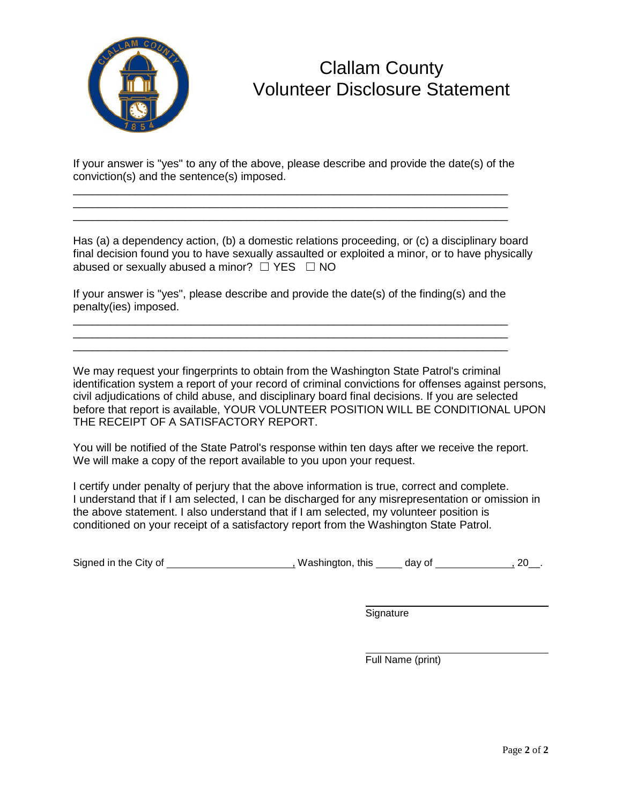

## Clallam County Volunteer Disclosure Statement

If your answer is "yes" to any of the above, please describe and provide the date(s) of the conviction(s) and the sentence(s) imposed.

\_\_\_\_\_\_\_\_\_\_\_\_\_\_\_\_\_\_\_\_\_\_\_\_\_\_\_\_\_\_\_\_\_\_\_\_\_\_\_\_\_\_\_\_\_\_\_\_\_\_\_\_\_\_\_\_\_\_\_\_\_\_\_\_\_\_\_\_\_\_

\_\_\_\_\_\_\_\_\_\_\_\_\_\_\_\_\_\_\_\_\_\_\_\_\_\_\_\_\_\_\_\_\_\_\_\_\_\_\_\_\_\_\_\_\_\_\_\_\_\_\_\_\_\_\_\_\_\_\_\_\_\_\_\_\_\_\_\_\_\_

Has (a) a dependency action, (b) a domestic relations proceeding, or (c) a disciplinary board final decision found you to have sexually assaulted or exploited a minor, or to have physically abused or sexually abused a minor?  $\Box$  YES  $\Box$  NO

If your answer is "yes", please describe and provide the date(s) of the finding(s) and the penalty(ies) imposed.

\_\_\_\_\_\_\_\_\_\_\_\_\_\_\_\_\_\_\_\_\_\_\_\_\_\_\_\_\_\_\_\_\_\_\_\_\_\_\_\_\_\_\_\_\_\_\_\_\_\_\_\_\_\_\_\_\_\_\_\_\_\_\_\_\_\_\_\_\_\_ \_\_\_\_\_\_\_\_\_\_\_\_\_\_\_\_\_\_\_\_\_\_\_\_\_\_\_\_\_\_\_\_\_\_\_\_\_\_\_\_\_\_\_\_\_\_\_\_\_\_\_\_\_\_\_\_\_\_\_\_\_\_\_\_\_\_\_\_\_\_ \_\_\_\_\_\_\_\_\_\_\_\_\_\_\_\_\_\_\_\_\_\_\_\_\_\_\_\_\_\_\_\_\_\_\_\_\_\_\_\_\_\_\_\_\_\_\_\_\_\_\_\_\_\_\_\_\_\_\_\_\_\_\_\_\_\_\_\_\_\_

We may request your fingerprints to obtain from the Washington State Patrol's criminal identification system a report of your record of criminal convictions for offenses against persons, civil adjudications of child abuse, and disciplinary board final decisions. If you are selected before that report is available, YOUR VOLUNTEER POSITION WILL BE CONDITIONAL UPON THE RECEIPT OF A SATISFACTORY REPORT.

You will be notified of the State Patrol's response within ten days after we receive the report. We will make a copy of the report available to you upon your request.

I certify under penalty of perjury that the above information is true, correct and complete. I understand that if I am selected, I can be discharged for any misrepresentation or omission in the above statement. I also understand that if I am selected, my volunteer position is conditioned on your receipt of a satisfactory report from the Washington State Patrol.

Signed in the City of  $\frac{1}{20}$  , Washington, this  $\frac{1}{20}$  day of  $\frac{1}{20}$ , 20\_\_.

**Signature** 

Full Name (print)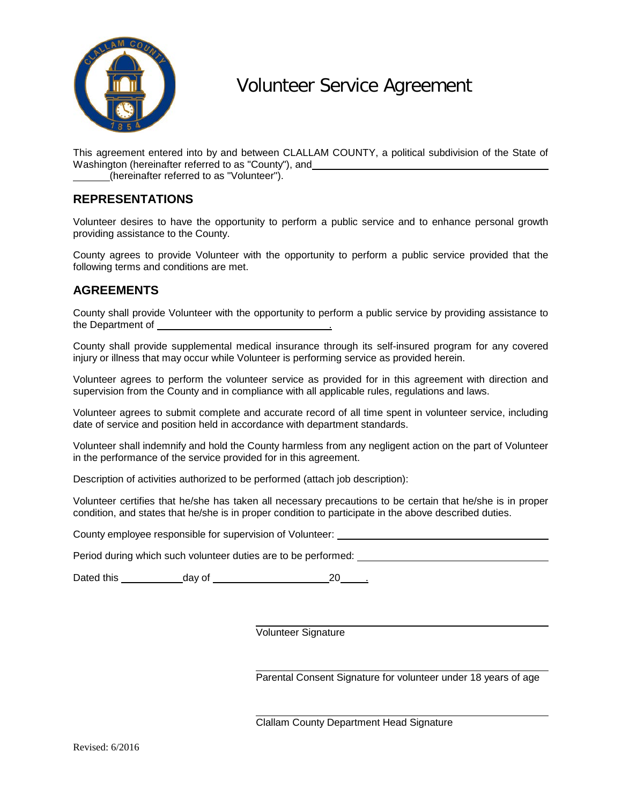

# Volunteer Service Agreement

This agreement entered into by and between CLALLAM COUNTY, a political subdivision of the State of Washington (hereinafter referred to as "County"), and

(hereinafter referred to as "Volunteer").

### **REPRESENTATIONS**

Volunteer desires to have the opportunity to perform a public service and to enhance personal growth providing assistance to the County.

County agrees to provide Volunteer with the opportunity to perform a public service provided that the following terms and conditions are met.

### **AGREEMENTS**

County shall provide Volunteer with the opportunity to perform a public service by providing assistance to the Department of  $\blacksquare$ 

County shall provide supplemental medical insurance through its self-insured program for any covered injury or illness that may occur while Volunteer is performing service as provided herein.

Volunteer agrees to perform the volunteer service as provided for in this agreement with direction and supervision from the County and in compliance with all applicable rules, regulations and laws.

Volunteer agrees to submit complete and accurate record of all time spent in volunteer service, including date of service and position held in accordance with department standards.

Volunteer shall indemnify and hold the County harmless from any negligent action on the part of Volunteer in the performance of the service provided for in this agreement.

Description of activities authorized to be performed (attach job description):

Volunteer certifies that he/she has taken all necessary precautions to be certain that he/she is in proper condition, and states that he/she is in proper condition to participate in the above described duties.

County employee responsible for supervision of Volunteer: \_\_\_\_\_\_\_\_\_\_\_\_\_\_\_\_\_\_\_\_\_\_\_

Period during which such volunteer duties are to be performed:

Dated this day of 20 .

Volunteer Signature

Parental Consent Signature for volunteer under 18 years of age

Clallam County Department Head Signature